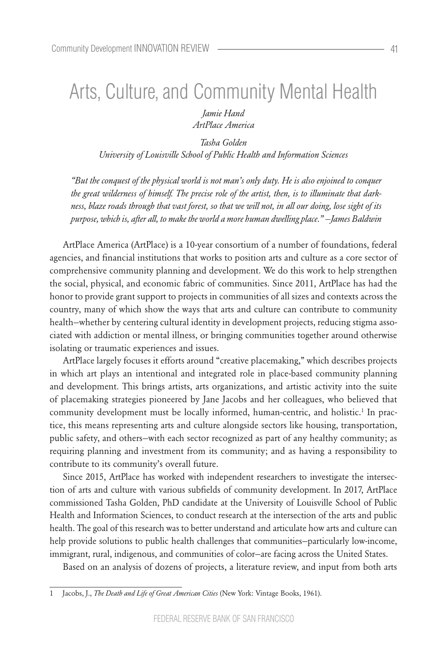# Arts, Culture, and Community Mental Health

*Jamie Hand ArtPlace America*

*Tasha Golden University of Louisville School of Public Health and Information Sciences*

*"But the conquest of the physical world is not man's only duty. He is also enjoined to conquer the great wilderness of himself. The precise role of the artist, then, is to illuminate that darkness, blaze roads through that vast forest, so that we will not, in all our doing, lose sight of its purpose, which is, after all, to make the world a more human dwelling place." —James Baldwin*

ArtPlace America (ArtPlace) is a 10-year consortium of a number of foundations, federal agencies, and financial institutions that works to position arts and culture as a core sector of comprehensive community planning and development. We do this work to help strengthen the social, physical, and economic fabric of communities. Since 2011, ArtPlace has had the honor to provide grant support to projects in communities of all sizes and contexts across the country, many of which show the ways that arts and culture can contribute to community health—whether by centering cultural identity in development projects, reducing stigma associated with addiction or mental illness, or bringing communities together around otherwise isolating or traumatic experiences and issues.

ArtPlace largely focuses it efforts around "creative placemaking," which describes projects in which art plays an intentional and integrated role in place-based community planning and development. This brings artists, arts organizations, and artistic activity into the suite of placemaking strategies pioneered by Jane Jacobs and her colleagues, who believed that community development must be locally informed, human-centric, and holistic.<sup>1</sup> In practice, this means representing arts and culture alongside sectors like housing, transportation, public safety, and others—with each sector recognized as part of any healthy community; as requiring planning and investment from its community; and as having a responsibility to contribute to its community's overall future.

Since 2015, ArtPlace has worked with independent researchers to investigate the intersection of arts and culture with various subfields of community development. In 2017, ArtPlace commissioned Tasha Golden, PhD candidate at the University of Louisville School of Public Health and Information Sciences, to conduct research at the intersection of the arts and public health. The goal of this research was to better understand and articulate how arts and culture can help provide solutions to public health challenges that communities—particularly low-income, immigrant, rural, indigenous, and communities of color—are facing across the United States.

Based on an analysis of dozens of projects, a literature review, and input from both arts

<sup>1</sup> Jacobs, J., *The Death and Life of Great American Cities* (New York: Vintage Books, 1961).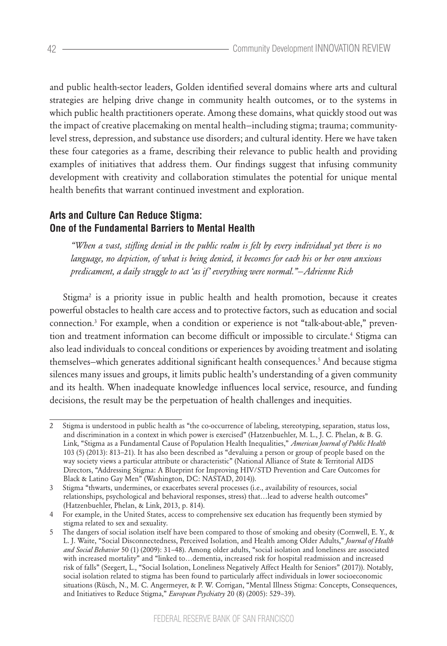and public health-sector leaders, Golden identified several domains where arts and cultural strategies are helping drive change in community health outcomes, or to the systems in which public health practitioners operate. Among these domains, what quickly stood out was the impact of creative placemaking on mental health—including stigma; trauma; communitylevel stress, depression, and substance use disorders; and cultural identity. Here we have taken these four categories as a frame, describing their relevance to public health and providing examples of initiatives that address them. Our findings suggest that infusing community development with creativity and collaboration stimulates the potential for unique mental health benefits that warrant continued investment and exploration.

# **Arts and Culture Can Reduce Stigma: One of the Fundamental Barriers to Mental Health**

*"When a vast, stifling denial in the public realm is felt by every individual yet there is no language, no depiction, of what is being denied, it becomes for each his or her own anxious predicament, a daily struggle to act 'as if' everything were normal."—Adrienne Rich*

Stigma2 is a priority issue in public health and health promotion, because it creates powerful obstacles to health care access and to protective factors, such as education and social connection.3 For example, when a condition or experience is not "talk-about-able," prevention and treatment information can become difficult or impossible to circulate.4 Stigma can also lead individuals to conceal conditions or experiences by avoiding treatment and isolating themselves—which generates additional significant health consequences.5 And because stigma silences many issues and groups, it limits public health's understanding of a given community and its health. When inadequate knowledge influences local service, resource, and funding decisions, the result may be the perpetuation of health challenges and inequities.

<sup>2</sup> Stigma is understood in public health as "the co-occurrence of labeling, stereotyping, separation, status loss, and discrimination in a context in which power is exercised" (Hatzenbuehler, M. L., J. C. Phelan, & B. G. Link, "Stigma as a Fundamental Cause of Population Health Inequalities," *American Journal of Public Health*  103 (5) (2013): 813–21). It has also been described as "devaluing a person or group of people based on the way society views a particular attribute or characteristic" (National Alliance of State & Territorial AIDS Directors, "Addressing Stigma: A Blueprint for Improving HIV/STD Prevention and Care Outcomes for Black & Latino Gay Men" (Washington, DC: NASTAD, 2014)).

<sup>3</sup> Stigma "thwarts, undermines, or exacerbates several processes (i.e., availability of resources, social relationships, psychological and behavioral responses, stress) that…lead to adverse health outcomes" (Hatzenbuehler, Phelan, & Link, 2013, p. 814).

<sup>4</sup> For example, in the United States, access to comprehensive sex education has frequently been stymied by stigma related to sex and sexuality.

<sup>5</sup> The dangers of social isolation itself have been compared to those of smoking and obesity (Cornwell, E. Y., & L. J. Waite, "Social Disconnectedness, Perceived Isolation, and Health among Older Adults," *Journal of Health and Social Behavior* 50 (1) (2009): 31–48). Among older adults, "social isolation and loneliness are associated with increased mortality" and "linked to…dementia, increased risk for hospital readmission and increased risk of falls" (Seegert, L., "Social Isolation, Loneliness Negatively Affect Health for Seniors" (2017)). Notably, social isolation related to stigma has been found to particularly affect individuals in lower socioeconomic situations (Rüsch, N., M. C. Angermeyer, & P. W. Corrigan, "Mental Illness Stigma: Concepts, Consequences, and Initiatives to Reduce Stigma," *European Psychiatry* 20 (8) (2005): 529–39).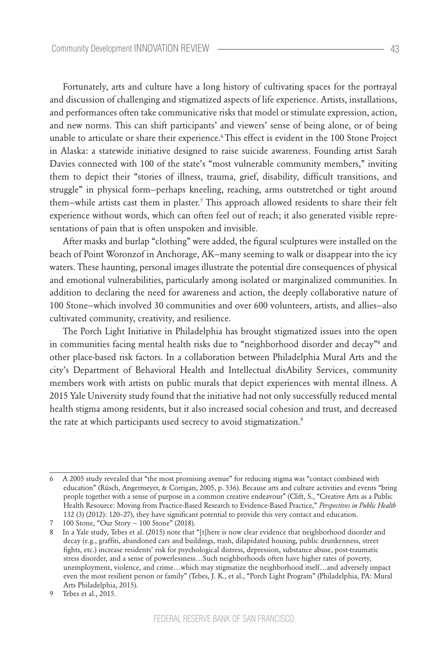Fortunately, arts and culture have a long history of cultivating spaces for the portrayal and discussion of challenging and stigmatized aspects of life experience. Artists, installations, and performances often take communicative risks that model or stimulate expression, action, and new norms. This can shift participants' and viewers' sense of being alone, or of being unable to articulate or share their experience.6 This effect is evident in the 100 Stone Project in Alaska: a statewide initiative designed to raise suicide awareness. Founding artist Sarah Davies connected with 100 of the state's "most vulnerable community members," inviting them to depict their "stories of illness, trauma, grief, disability, difficult transitions, and struggle" in physical form—perhaps kneeling, reaching, arms outstretched or tight around them–while artists cast them in plaster.<sup>7</sup> This approach allowed residents to share their felt experience without words, which can often feel out of reach; it also generated visible representations of pain that is often unspoken and invisible.

After masks and burlap "clothing" were added, the figural sculptures were installed on the beach of Point Woronzof in Anchorage, AK—many seeming to walk or disappear into the icy waters. These haunting, personal images illustrate the potential dire consequences of physical and emotional vulnerabilities, particularly among isolated or marginalized communities. In addition to declaring the need for awareness and action, the deeply collaborative nature of 100 Stone—which involved 30 communities and over 600 volunteers, artists, and allies—also cultivated community, creativity, and resilience.

The Porch Light Initiative in Philadelphia has brought stigmatized issues into the open in communities facing mental health risks due to "neighborhood disorder and decay"8 and other place-based risk factors. In a collaboration between Philadelphia Mural Arts and the city's Department of Behavioral Health and Intellectual disAbility Services, community members work with artists on public murals that depict experiences with mental illness. A 2015 Yale University study found that the initiative had not only successfully reduced mental health stigma among residents, but it also increased social cohesion and trust, and decreased the rate at which participants used secrecy to avoid stigmatization.<sup>9</sup>

<sup>6</sup> A 2005 study revealed that "the most promising avenue" for reducing stigma was "contact combined with education" (Rüsch, Angermeyer, & Corrigan, 2005, p. 536). Because arts and culture activities and events "bring people together with a sense of purpose in a common creative endeavour" (Clift, S., "Creative Arts as a Public Health Resource: Moving from Practice-Based Research to Evidence-Based Practice," *Perspectives in Public Health* 132 (3) (2012): 120–27), they have significant potential to provide this very contact and education.

<sup>7 100</sup> Stone, "Our Story — 100 Stone" (2018).

<sup>8</sup> In a Yale study, Tebes et al. (2015) note that "[t]here is now clear evidence that neighborhood disorder and decay (e.g., graffiti, abandoned cars and buildings, trash, dilapidated housing, public drunkenness, street fights, etc.) increase residents' risk for psychological distress, depression, substance abuse, post-traumatic stress disorder, and a sense of powerlessness…Such neighborhoods often have higher rates of poverty, unemployment, violence, and crime…which may stigmatize the neighborhood itself…and adversely impact even the most resilient person or family" (Tebes, J. K., et al., "Porch Light Program" (Philadelphia, PA: Mural Arts Philadelphia, 2015).

<sup>9</sup> Tebes et al., 2015.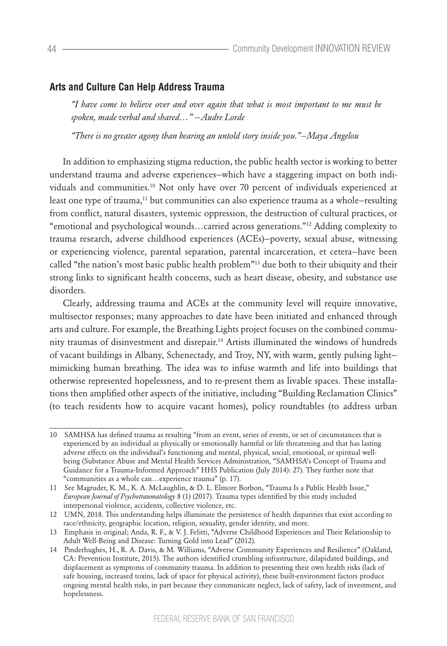### **Arts and Culture Can Help Address Trauma**

*"I have come to believe over and over again that what is most important to me must be spoken, made verbal and shared…" —Audre Lorde*

*"There is no greater agony than bearing an untold story inside you."—Maya Angelou*

In addition to emphasizing stigma reduction, the public health sector is working to better understand trauma and adverse experiences—which have a staggering impact on both individuals and communities.10 Not only have over 70 percent of individuals experienced at least one type of trauma,<sup>11</sup> but communities can also experience trauma as a whole-resulting from conflict, natural disasters, systemic oppression, the destruction of cultural practices, or "emotional and psychological wounds…carried across generations."12 Adding complexity to trauma research, adverse childhood experiences (ACEs)—poverty, sexual abuse, witnessing or experiencing violence, parental separation, parental incarceration, et cetera—have been called "the nation's most basic public health problem"13 due both to their ubiquity and their strong links to significant health concerns, such as heart disease, obesity, and substance use disorders.

Clearly, addressing trauma and ACEs at the community level will require innovative, multisector responses; many approaches to date have been initiated and enhanced through arts and culture. For example, the Breathing Lights project focuses on the combined community traumas of disinvestment and disrepair.14 Artists illuminated the windows of hundreds of vacant buildings in Albany, Schenectady, and Troy, NY, with warm, gently pulsing light mimicking human breathing. The idea was to infuse warmth and life into buildings that otherwise represented hopelessness, and to re-present them as livable spaces. These installations then amplified other aspects of the initiative, including "Building Reclamation Clinics" (to teach residents how to acquire vacant homes), policy roundtables (to address urban

<sup>10</sup> SAMHSA has defined trauma as resulting "from an event, series of events, or set of circumstances that is experienced by an individual as physically or emotionally harmful or life threatening and that has lasting adverse effects on the individual's functioning and mental, physical, social, emotional, or spiritual wellbeing (Substance Abuse and Mental Health Services Administration, "SAMHSA's Concept of Trauma and Guidance for a Trauma-Informed Approach" HHS Publication (July 2014): 27). They further note that "communities as a whole can…experience trauma" (p. 17).

<sup>11</sup> See Magruder, K. M., K. A. McLaughlin, & D. L. Elmore Borbon, "Trauma Is a Public Health Issue," *European Journal of Psychotraumatology* 8 (1) (2017). Trauma types identified by this study included interpersonal violence, accidents, collective violence, etc.

<sup>12</sup> UMN, 2018. This understanding helps illuminate the persistence of health disparities that exist according to race/ethnicity, geographic location, religion, sexuality, gender identity, and more.

<sup>13</sup> Emphasis in original; Anda, R. F., & V. J. Felitti, "Adverse Childhood Experiences and Their Relationship to Adult Well-Being and Disease: Turning Gold into Lead" (2012).

<sup>14</sup> Pinderhughes, H., R. A. Davis, & M. Williams, "Adverse Community Experiences and Resilience" (Oakland, CA: Prevention Institute, 2015). The authors identified crumbling infrastructure, dilapidated buildings, and displacement as symptoms of community trauma. In addition to presenting their own health risks (lack of safe housing, increased toxins, lack of space for physical activity), these built-environment factors produce ongoing mental health risks, in part because they communicate neglect, lack of safety, lack of investment, and hopelessness.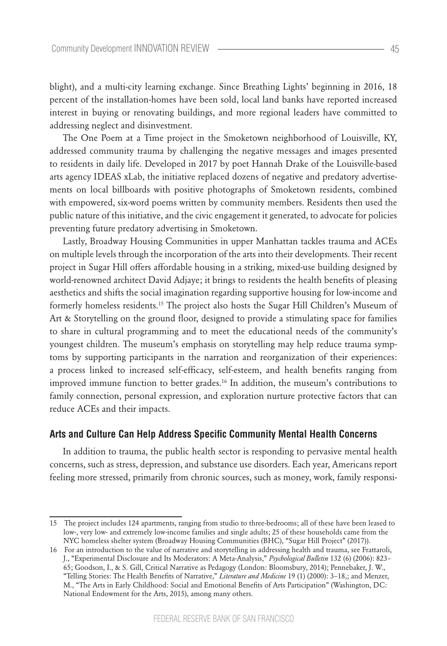blight), and a multi-city learning exchange. Since Breathing Lights' beginning in 2016, 18 percent of the installation-homes have been sold, local land banks have reported increased interest in buying or renovating buildings, and more regional leaders have committed to addressing neglect and disinvestment.

The One Poem at a Time project in the Smoketown neighborhood of Louisville, KY, addressed community trauma by challenging the negative messages and images presented to residents in daily life. Developed in 2017 by poet Hannah Drake of the Louisville-based arts agency IDEAS xLab, the initiative replaced dozens of negative and predatory advertisements on local billboards with positive photographs of Smoketown residents, combined with empowered, six-word poems written by community members. Residents then used the public nature of this initiative, and the civic engagement it generated, to advocate for policies preventing future predatory advertising in Smoketown.

Lastly, Broadway Housing Communities in upper Manhattan tackles trauma and ACEs on multiple levels through the incorporation of the arts into their developments. Their recent project in Sugar Hill offers affordable housing in a striking, mixed-use building designed by world-renowned architect David Adjaye; it brings to residents the health benefits of pleasing aesthetics and shifts the social imagination regarding supportive housing for low-income and formerly homeless residents.15 The project also hosts the Sugar Hill Children's Museum of Art & Storytelling on the ground floor, designed to provide a stimulating space for families to share in cultural programming and to meet the educational needs of the community's youngest children. The museum's emphasis on storytelling may help reduce trauma symptoms by supporting participants in the narration and reorganization of their experiences: a process linked to increased self-efficacy, self-esteem, and health benefits ranging from improved immune function to better grades.16 In addition, the museum's contributions to family connection, personal expression, and exploration nurture protective factors that can reduce ACEs and their impacts.

#### **Arts and Culture Can Help Address Specific Community Mental Health Concerns**

In addition to trauma, the public health sector is responding to pervasive mental health concerns, such as stress, depression, and substance use disorders. Each year, Americans report feeling more stressed, primarily from chronic sources, such as money, work, family responsi-

<sup>15</sup> The project includes 124 apartments, ranging from studio to three-bedrooms; all of these have been leased to low-, very low- and extremely low-income families and single adults; 25 of these households came from the NYC homeless shelter system (Broadway Housing Communities (BHC), "Sugar Hill Project" (2017)).

<sup>16</sup> For an introduction to the value of narrative and storytelling in addressing health and trauma, see Frattaroli, J., "Experimental Disclosure and Its Moderators: A Meta-Analysis," *Psychological Bulletin* 132 (6) (2006): 823– 65; Goodson, I., & S. Gill, Critical Narrative as Pedagogy (London: Bloomsbury, 2014); Pennebaker, J. W., "Telling Stories: The Health Benefits of Narrative," *Literature and Medicine* 19 (1) (2000): 3–18,; and Menzer, M., "The Arts in Early Childhood: Social and Emotional Benefits of Arts Participation" (Washington, DC: National Endowment for the Arts, 2015), among many others.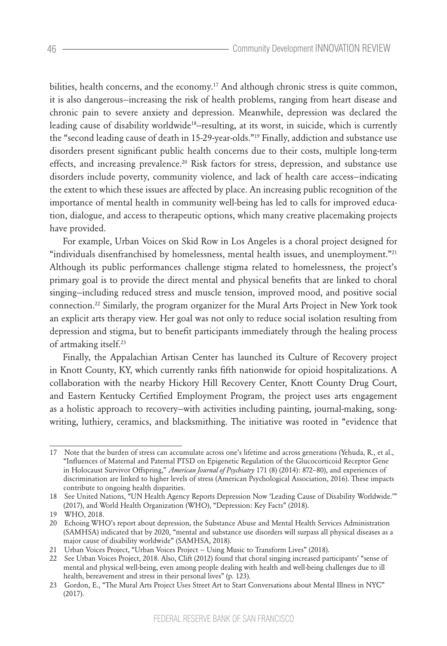bilities, health concerns, and the economy.17 And although chronic stress is quite common, it is also dangerous—increasing the risk of health problems, ranging from heart disease and chronic pain to severe anxiety and depression. Meanwhile, depression was declared the leading cause of disability worldwide18--resulting, at its worst, in suicide, which is currently the "second leading cause of death in 15-29-year-olds."19 Finally, addiction and substance use disorders present significant public health concerns due to their costs, multiple long-term effects, and increasing prevalence.<sup>20</sup> Risk factors for stress, depression, and substance use disorders include poverty, community violence, and lack of health care access—indicating the extent to which these issues are affected by place. An increasing public recognition of the importance of mental health in community well-being has led to calls for improved education, dialogue, and access to therapeutic options, which many creative placemaking projects have provided.

For example, Urban Voices on Skid Row in Los Angeles is a choral project designed for "individuals disenfranchised by homelessness, mental health issues, and unemployment."21 Although its public performances challenge stigma related to homelessness, the project's primary goal is to provide the direct mental and physical benefits that are linked to choral singing—including reduced stress and muscle tension, improved mood, and positive social connection.22 Similarly, the program organizer for the Mural Arts Project in New York took an explicit arts therapy view. Her goal was not only to reduce social isolation resulting from depression and stigma, but to benefit participants immediately through the healing process of artmaking itself.23

Finally, the Appalachian Artisan Center has launched its Culture of Recovery project in Knott County, KY, which currently ranks fifth nationwide for opioid hospitalizations. A collaboration with the nearby Hickory Hill Recovery Center, Knott County Drug Court, and Eastern Kentucky Certified Employment Program, the project uses arts engagement as a holistic approach to recovery—with activities including painting, journal-making, songwriting, luthiery, ceramics, and blacksmithing. The initiative was rooted in "evidence that

<sup>17</sup> Note that the burden of stress can accumulate across one's lifetime and across generations (Yehuda, R., et al., "Influences of Maternal and Paternal PTSD on Epigenetic Regulation of the Glucocorticoid Receptor Gene in Holocaust Survivor Offspring," *American Journal of Psychiatry* 171 (8) (2014): 872–80), and experiences of discrimination are linked to higher levels of stress (American Psychological Association, 2016). These impacts contribute to ongoing health disparities.

<sup>18</sup> See United Nations, "UN Health Agency Reports Depression Now 'Leading Cause of Disability Worldwide.'" (2017), and World Health Organization (WHO), "Depression: Key Facts" (2018).

<sup>19</sup> WHO, 2018.

<sup>20</sup> Echoing WHO's report about depression, the Substance Abuse and Mental Health Services Administration (SAMHSA) indicated that by 2020, "mental and substance use disorders will surpass all physical diseases as a major cause of disability worldwide" (SAMHSA, 2018).

<sup>21</sup> Urban Voices Project, "Urban Voices Project — Using Music to Transform Lives" (2018).

<sup>22</sup> See Urban Voices Project, 2018. Also, Clift (2012) found that choral singing increased participants' "sense of mental and physical well-being, even among people dealing with health and well-being challenges due to ill health, bereavement and stress in their personal lives" (p. 123).

<sup>23</sup> Gordon, E., "The Mural Arts Project Uses Street Art to Start Conversations about Mental Illness in NYC" (2017).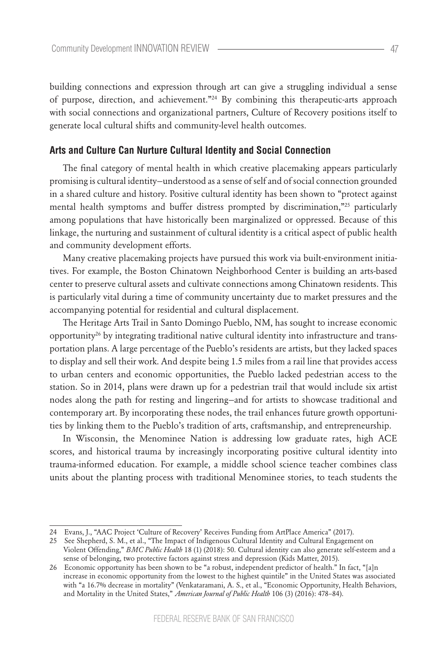building connections and expression through art can give a struggling individual a sense of purpose, direction, and achievement."24 By combining this therapeutic-arts approach with social connections and organizational partners, Culture of Recovery positions itself to generate local cultural shifts and community-level health outcomes.

#### **Arts and Culture Can Nurture Cultural Identity and Social Connection**

The final category of mental health in which creative placemaking appears particularly promising is cultural identity—understood as a sense of self and of social connection grounded in a shared culture and history. Positive cultural identity has been shown to "protect against mental health symptoms and buffer distress prompted by discrimination,"25 particularly among populations that have historically been marginalized or oppressed. Because of this linkage, the nurturing and sustainment of cultural identity is a critical aspect of public health and community development efforts.

Many creative placemaking projects have pursued this work via built-environment initiatives. For example, the Boston Chinatown Neighborhood Center is building an arts-based center to preserve cultural assets and cultivate connections among Chinatown residents. This is particularly vital during a time of community uncertainty due to market pressures and the accompanying potential for residential and cultural displacement.

The Heritage Arts Trail in Santo Domingo Pueblo, NM, has sought to increase economic opportunity26 by integrating traditional native cultural identity into infrastructure and transportation plans. A large percentage of the Pueblo's residents are artists, but they lacked spaces to display and sell their work. And despite being 1.5 miles from a rail line that provides access to urban centers and economic opportunities, the Pueblo lacked pedestrian access to the station. So in 2014, plans were drawn up for a pedestrian trail that would include six artist nodes along the path for resting and lingering—and for artists to showcase traditional and contemporary art. By incorporating these nodes, the trail enhances future growth opportunities by linking them to the Pueblo's tradition of arts, craftsmanship, and entrepreneurship.

In Wisconsin, the Menominee Nation is addressing low graduate rates, high ACE scores, and historical trauma by increasingly incorporating positive cultural identity into trauma-informed education. For example, a middle school science teacher combines class units about the planting process with traditional Menominee stories, to teach students the

<sup>24</sup> Evans, J., "AAC Project 'Culture of Recovery' Receives Funding from ArtPlace America" (2017).

<sup>25</sup> See Shepherd, S. M., et al., "The Impact of Indigenous Cultural Identity and Cultural Engagement on Violent Offending," *BMC Public Health* 18 (1) (2018): 50. Cultural identity can also generate self-esteem and a sense of belonging, two protective factors against stress and depression (Kids Matter, 2015).

<sup>26</sup> Economic opportunity has been shown to be "a robust, independent predictor of health." In fact, "[a]n increase in economic opportunity from the lowest to the highest quintile" in the United States was associated with "a 16.7% decrease in mortality" (Venkataramani, A. S., et al., "Economic Opportunity, Health Behaviors, and Mortality in the United States," *American Journal of Public Health* 106 (3) (2016): 478–84).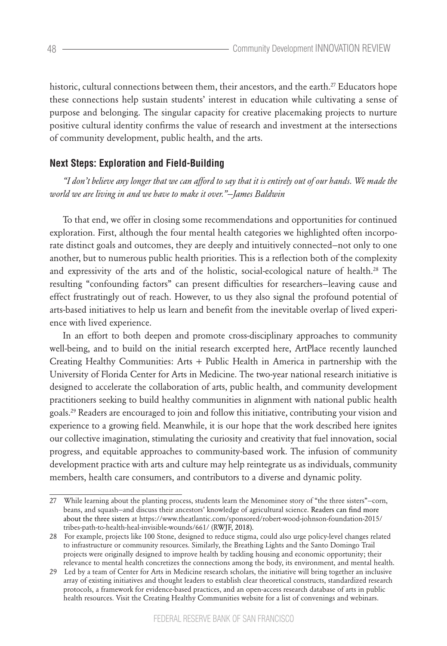historic, cultural connections between them, their ancestors, and the earth.<sup>27</sup> Educators hope these connections help sustain students' interest in education while cultivating a sense of purpose and belonging. The singular capacity for creative placemaking projects to nurture positive cultural identity confirms the value of research and investment at the intersections of community development, public health, and the arts.

## **Next Steps: Exploration and Field-Building**

*"I don't believe any longer that we can afford to say that it is entirely out of our hands. We made the world we are living in and we have to make it over."*—*James Baldwin*

To that end, we offer in closing some recommendations and opportunities for continued exploration. First, although the four mental health categories we highlighted often incorporate distinct goals and outcomes, they are deeply and intuitively connected—not only to one another, but to numerous public health priorities. This is a reflection both of the complexity and expressivity of the arts and of the holistic, social-ecological nature of health.<sup>28</sup> The resulting "confounding factors" can present difficulties for researchers—leaving cause and effect frustratingly out of reach. However, to us they also signal the profound potential of arts-based initiatives to help us learn and benefit from the inevitable overlap of lived experience with lived experience.

In an effort to both deepen and promote cross-disciplinary approaches to community well-being, and to build on the initial research excerpted here, ArtPlace recently launched Creating Healthy Communities: Arts + Public Health in America in partnership with the University of Florida Center for Arts in Medicine. The two-year national research initiative is designed to accelerate the collaboration of arts, public health, and community development practitioners seeking to build healthy communities in alignment with national public health goals.29 Readers are encouraged to join and follow this initiative, contributing your vision and experience to a growing field. Meanwhile, it is our hope that the work described here ignites our collective imagination, stimulating the curiosity and creativity that fuel innovation, social progress, and equitable approaches to community-based work. The infusion of community development practice with arts and culture may help reintegrate us as individuals, community members, health care consumers, and contributors to a diverse and dynamic polity.

<sup>27</sup> While learning about the planting process, students learn the Menominee story of "the three sisters"—corn, beans, and squash—and discuss their ancestors' knowledge of agricultural science. Readers can find more about the three sisters at https://www.theatlantic.com/sponsored/robert-wood-johnson-foundation-2015/ tribes-path-to-health-heal-invisible-wounds/661/ (RWJF, 2018).

<sup>28</sup> For example, projects like 100 Stone, designed to reduce stigma, could also urge policy-level changes related to infrastructure or community resources. Similarly, the Breathing Lights and the Santo Domingo Trail projects were originally designed to improve health by tackling housing and economic opportunity; their relevance to mental health concretizes the connections among the body, its environment, and mental health.

<sup>29</sup> Led by a team of Center for Arts in Medicine research scholars, the initiative will bring together an inclusive array of existing initiatives and thought leaders to establish clear theoretical constructs, standardized research protocols, a framework for evidence-based practices, and an open-access research database of arts in public health resources. Visit the Creating Healthy Communities website for a list of convenings and webinars.